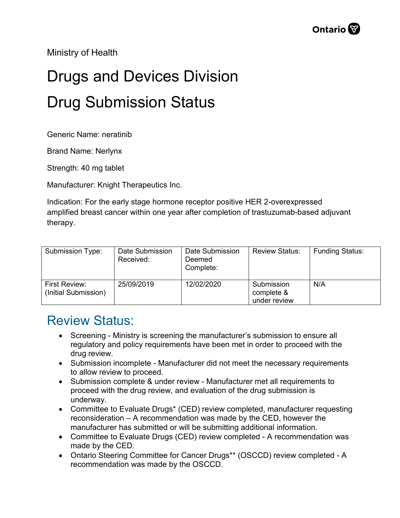Ministry of Health

## Drugs and Devices Division Drug Submission Status

Generic Name: neratinib

Brand Name: Nerlynx

Strength: 40 mg tablet

Manufacturer: Knight Therapeutics Inc.

Indication: For the early stage hormone receptor positive HER 2-overexpressed amplified breast cancer within one year after completion of trastuzumab-based adjuvant therapy.

| Submission Type:                      | Date Submission<br>Received: | Date Submission<br>Deemed<br>Complete: | <b>Review Status:</b>                    | <b>Funding Status:</b> |
|---------------------------------------|------------------------------|----------------------------------------|------------------------------------------|------------------------|
| First Review:<br>(Initial Submission) | 25/09/2019                   | 12/02/2020                             | Submission<br>complete &<br>under review | N/A                    |

## Review Status:

- Screening Ministry is screening the manufacturer's submission to ensure all regulatory and policy requirements have been met in order to proceed with the drug review.
- Submission incomplete Manufacturer did not meet the necessary requirements to allow review to proceed.
- Submission complete & under review Manufacturer met all requirements to proceed with the drug review, and evaluation of the drug submission is underway.
- Committee to Evaluate Drugs\* (CED) review completed, manufacturer requesting reconsideration – A recommendation was made by the CED, however the manufacturer has submitted or will be submitting additional information.
- Committee to Evaluate Drugs (CED) review completed A recommendation was made by the CED.
- Ontario Steering Committee for Cancer Drugs\*\* (OSCCD) review completed A recommendation was made by the OSCCD.